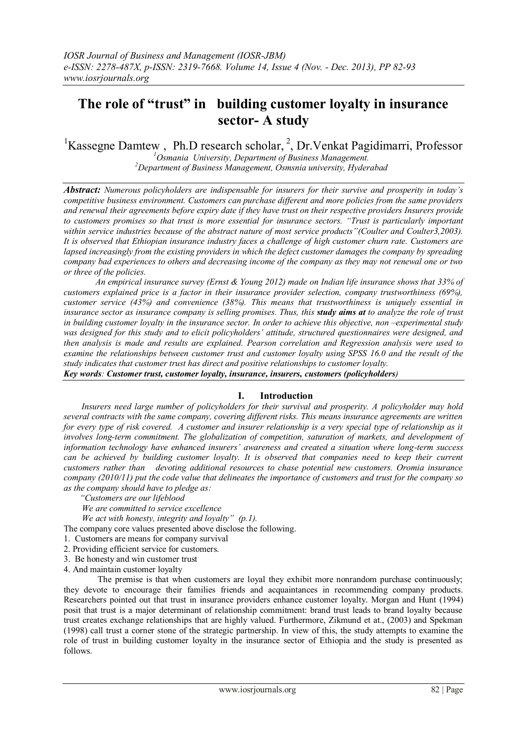# **The role of "trust" in building customer loyalty in insurance sector- A study**

<sup>1</sup>Kassegne Damtew, Ph.D research scholar, <sup>2</sup>, Dr. Venkat Pagidimarri, Professor

*<sup>1</sup>Osmania University, Department of Business Management. <sup>2</sup>Department of Business Management, Osmsnia university, Hyderabad*

*Abstract: Numerous policyholders are indispensable for insurers for their survive and prosperity in today"s competitive business environment. Customers can purchase different and more policies from the same providers and renewal their agreements before expiry date if they have trust on their respective providers Insurers provide to customers promises so that trust is more essential for insurance sectors. "Trust is particularly important within service industries because of the abstract nature of most service products"(Coulter and Coulter3,2003). It is observed that Ethiopian insurance industry faces a challenge of high customer churn rate. Customers are lapsed increasingly from the existing providers in which the defect customer damages the company by spreading company bad experiences to others and decreasing income of the company as they may not renewal one or two or three of the policies.*

*An empirical insurance survey (Ernst & Young 2012) made on Indian life insurance shows that 33% of customers explained price is a factor in their insurance provider selection, company trustworthiness (69%), customer service (43%) and convenience (38%). This means that trustworthiness is uniquely essential in insurance sector as insurance company is selling promises. Thus, this study aims at to analyze the role of trust in building customer loyalty in the insurance sector. In order to achieve this objective, non –experimental study was designed for this study and to elicit policyholders" attitude, structured questionnaires were designed, and then analysis is made and results are explained. Pearson correlation and Regression analysis were used to examine the relationships between customer trust and customer loyalty using SPSS 16.0 and the result of the study indicates that customer trust has direct and positive relationships to customer loyalty.* 

*Key words: Customer trust, customer loyalty, insurance, insurers, customers (policyholders)*

# **I. Introduction**

 *Insurers need large number of policyholders for their survival and prosperity. A policyholder may hold several contracts with the same company, covering different risks. This means insurance agreements are written for every type of risk covered. A customer and insurer relationship is a very special type of relationship as it involves long-term commitment. The globalization of competition, saturation of markets, and development of information technology have enhanced insurers" awareness and created a situation where long-term success can be achieved by building customer loyalty. It is observed that companies need to keep their current customers rather than devoting additional resources to chase potential new customers. Oromia insurance company (2010/11) put the code value that delineates the importance of customers and trust for the company so as the company should have to pledge as:*

 *"Customers are our lifeblood*

 *We are committed to service excellence*

 *We act with honesty, integrity and loyalty" (p.1).*

The company core values presented above disclose the following.

- 1. Customers are means for company survival
- 2. Providing efficient service for customers.
- 3. Be honesty and win customer trust
- 4. And maintain customer loyalty

 The premise is that when customers are loyal they exhibit more nonrandom purchase continuously; they devote to encourage their families friends and acquaintances in recommending company products. Researchers pointed out that trust in insurance providers enhance customer loyalty. Morgan and Hunt (1994) posit that trust is a major determinant of relationship commitment: brand trust leads to brand loyalty because trust creates exchange relationships that are highly valued. Furthermore, Zikmund et at., (2003) and Spekman (1998) call trust a corner stone of the strategic partnership. In view of this, the study attempts to examine the role of trust in building customer loyalty in the insurance sector of Ethiopia and the study is presented as follows.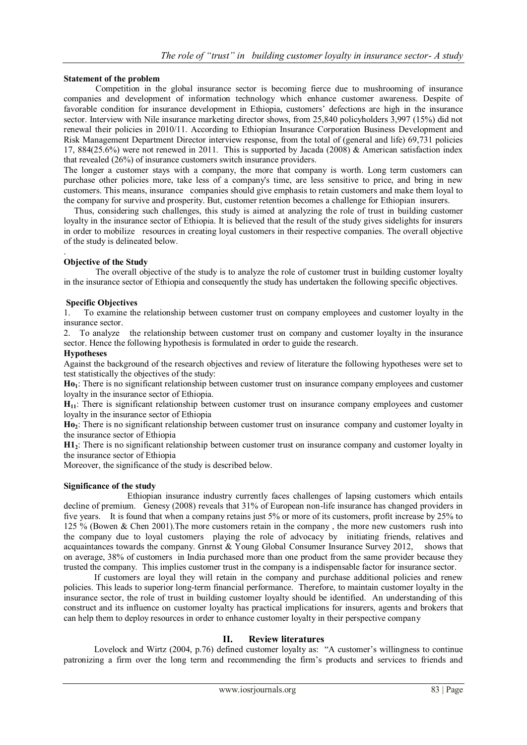# **Statement of the problem**

 Competition in the global insurance sector is becoming fierce due to mushrooming of insurance companies and development of information technology which enhance customer awareness. Despite of favorable condition for insurance development in Ethiopia, customers" defections are high in the insurance sector. Interview with Nile insurance marketing director shows, from 25,840 policyholders 3,997 (15%) did not renewal their policies in 2010/11. According to Ethiopian Insurance Corporation Business Development and Risk Management Department Director interview response, from the total of (general and life) 69,731 policies 17, 884(25.6%) were not renewed in 2011. This is supported by Jacada (2008) & American satisfaction index that revealed (26%) of insurance customers switch insurance providers.

The longer a customer stays with a company, the more that company is worth. Long term customers can purchase other policies more, take less of a company's time, are less sensitive to price, and bring in new customers. This means, insurance companies should give emphasis to retain customers and make them loyal to the company for survive and prosperity. But, customer retention becomes a challenge for Ethiopian insurers.

 Thus, considering such challenges, this study is aimed at analyzing the role of trust in building customer loyalty in the insurance sector of Ethiopia. It is believed that the result of the study gives sidelights for insurers in order to mobilize resources in creating loyal customers in their respective companies. The overall objective of the study is delineated below.

#### . **Objective of the Study**

 The overall objective of the study is to analyze the role of customer trust in building customer loyalty in the insurance sector of Ethiopia and consequently the study has undertaken the following specific objectives.

## **Specific Objectives**

1. To examine the relationship between customer trust on company employees and customer loyalty in the insurance sector.

2. To analyze the relationship between customer trust on company and customer loyalty in the insurance sector. Hence the following hypothesis is formulated in order to guide the research.

## **Hypotheses**

Against the background of the research objectives and review of literature the following hypotheses were set to test statistically the objectives of the study:

**Ho1**: There is no significant relationship between customer trust on insurance company employees and customer loyalty in the insurance sector of Ethiopia.

**H11**: There is significant relationship between customer trust on insurance company employees and customer loyalty in the insurance sector of Ethiopia

**Ho2**: There is no significant relationship between customer trust on insurance company and customer loyalty in the insurance sector of Ethiopia

**H12**: There is no significant relationship between customer trust on insurance company and customer loyalty in the insurance sector of Ethiopia

Moreover, the significance of the study is described below.

## **Significance of the study**

 Ethiopian insurance industry currently faces challenges of lapsing customers which entails decline of premium. Genesy (2008) reveals that 31% of European non-life insurance has changed providers in five years. It is found that when a company retains just 5% or more of its customers, profit increase by 25% to 125 % (Bowen & Chen 2001).The more customers retain in the company , the more new customers rush into the company due to loyal customers playing the role of advocacy by initiating friends, relatives and acquaintances towards the company. Gnrnst & Young Global Consumer Insurance Survey 2012, shows that on average, 38% of customers in India purchased more than one product from the same provider because they trusted the company. This implies customer trust in the company is a indispensable factor for insurance sector.

If customers are loyal they will retain in the company and purchase additional policies and renew policies. This leads to superior long-term financial performance. Therefore, to maintain customer loyalty in the insurance sector, the role of trust in building customer loyalty should be identified. An understanding of this construct and its influence on customer loyalty has practical implications for insurers, agents and brokers that can help them to deploy resources in order to enhance customer loyalty in their perspective company

# **II. Review literatures**

Lovelock and Wirtz (2004, p.76) defined customer loyalty as: "A customer's willingness to continue patronizing a firm over the long term and recommending the firm"s products and services to friends and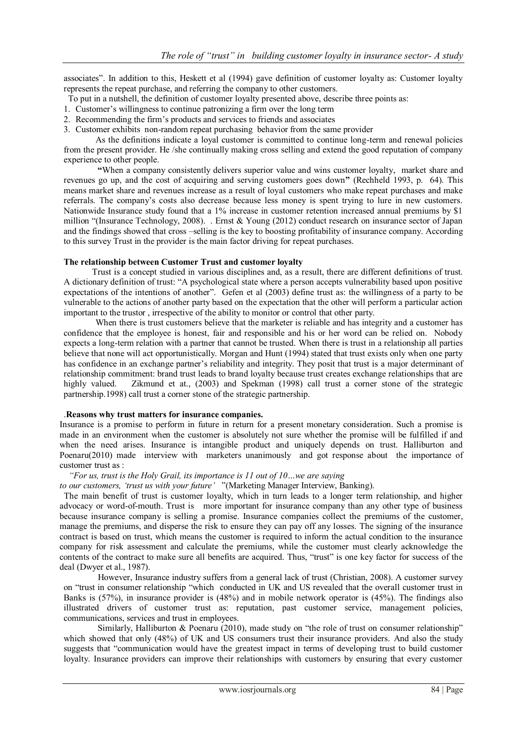associates". In addition to this, Heskett et al (1994) gave definition of customer loyalty as: Customer loyalty represents the repeat purchase, and referring the company to other customers.

- To put in a nutshell, the definition of customer loyalty presented above, describe three points as:
- 1. Customer"s willingness to continue patronizing a firm over the long term
- 2. Recommending the firm"s products and services to friends and associates
- 3. Customer exhibits non-random repeat purchasing behavior from the same provider

 As the definitions indicate a loyal customer is committed to continue long-term and renewal policies from the present provider. He /she continually making cross selling and extend the good reputation of company experience to other people.

**"**When a company consistently delivers superior value and wins customer loyalty, market share and revenues go up, and the cost of acquiring and serving customers goes down**"** (Rechheld 1993, p. 64). This means market share and revenues increase as a result of loyal customers who make repeat purchases and make referrals. The company"s costs also decrease because less money is spent trying to lure in new customers. Nationwide Insurance study found that a 1% increase in customer retention increased annual premiums by \$1 million "(Insurance Technology, 2008). . Ernst & Young (2012) conduct research on insurance sector of Japan and the findings showed that cross –selling is the key to boosting profitability of insurance company. According to this survey Trust in the provider is the main factor driving for repeat purchases.

#### **The relationship between Customer Trust and customer loyalty**

 Trust is a concept studied in various disciplines and, as a result, there are different definitions of trust. A dictionary definition of trust: "A psychological state where a person accepts vulnerability based upon positive expectations of the intentions of another". Gefen et al (2003) define trust as: the willingness of a party to be vulnerable to the actions of another party based on the expectation that the other will perform a particular action important to the trustor , irrespective of the ability to monitor or control that other party.

When there is trust customers believe that the marketer is reliable and has integrity and a customer has confidence that the employee is honest, fair and responsible and his or her word can be relied on. Nobody expects a long-term relation with a partner that cannot be trusted. When there is trust in a relationship all parties believe that none will act opportunistically. Morgan and Hunt (1994) stated that trust exists only when one party has confidence in an exchange partner's reliability and integrity. They posit that trust is a major determinant of relationship commitment: brand trust leads to brand loyalty because trust creates exchange relationships that are highly valued. Zikmund et at., (2003) and Spekman (1998) call trust a corner stone of the strategic partnership.1998) call trust a corner stone of the strategic partnership.

## .**Reasons why trust matters for insurance companies.**

Insurance is a promise to perform in future in return for a present monetary consideration. Such a promise is made in an environment when the customer is absolutely not sure whether the promise will be fulfilled if and when the need arises. Insurance is intangible product and uniquely depends on trust. Halliburton and Poenaru(2010) made interview with marketers unanimously and got response about the importance of customer trust as :

## *"For us, trust is the Holy Grail, its importance is 11 out of 10…we are saying*

*to our customers, "trust us with your future"* "(Marketing Manager Interview, Banking).

 The main benefit of trust is customer loyalty, which in turn leads to a longer term relationship, and higher advocacy or word-of-mouth. Trust is more important for insurance company than any other type of business because insurance company is selling a promise. Insurance companies collect the premiums of the customer, manage the premiums, and disperse the risk to ensure they can pay off any losses. The signing of the insurance contract is based on trust, which means the customer is required to inform the actual condition to the insurance company for risk assessment and calculate the premiums, while the customer must clearly acknowledge the contents of the contract to make sure all benefits are acquired. Thus, "trust" is one key factor for success of the deal (Dwyer et al., 1987).

However, Insurance industry suffers from a general lack of trust (Christian, 2008). A customer survey on "trust in consumer relationship "which conducted in UK and US revealed that the overall customer trust in Banks is (57%), in insurance provider is (48%) and in mobile network operator is (45%). The findings also illustrated drivers of customer trust as: reputation, past customer service, management policies, communications, services and trust in employees.

Similarly, Halliburton & Poenaru (2010), made study on "the role of trust on consumer relationship" which showed that only (48%) of UK and US consumers trust their insurance providers. And also the study suggests that "communication would have the greatest impact in terms of developing trust to build customer loyalty. Insurance providers can improve their relationships with customers by ensuring that every customer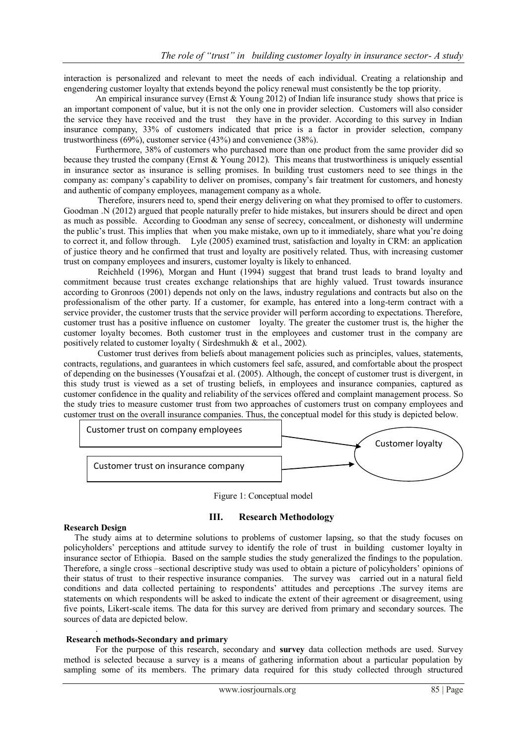interaction is personalized and relevant to meet the needs of each individual. Creating a relationship and engendering customer loyalty that extends beyond the policy renewal must consistently be the top priority.

An empirical insurance survey (Ernst & Young 2012) of Indian life insurance study shows that price is an important component of value, but it is not the only one in provider selection. Customers will also consider the service they have received and the trust they have in the provider. According to this survey in Indian insurance company, 33% of customers indicated that price is a factor in provider selection, company trustworthiness (69%), customer service (43%) and convenience (38%).

Furthermore, 38% of customers who purchased more than one product from the same provider did so because they trusted the company (Ernst & Young 2012). This means that trustworthiness is uniquely essential in insurance sector as insurance is selling promises. In building trust customers need to see things in the company as: company"s capability to deliver on promises, company"s fair treatment for customers, and honesty and authentic of company employees, management company as a whole.

Therefore, insurers need to, spend their energy delivering on what they promised to offer to customers. Goodman .N (2012) argued that people naturally prefer to hide mistakes, but insurers should be direct and open as much as possible. According to Goodman any sense of secrecy, concealment, or dishonesty will undermine the public"s trust. This implies that when you make mistake, own up to it immediately, share what you"re doing to correct it, and follow through. Lyle (2005) examined trust, satisfaction and loyalty in CRM: an application of justice theory and he confirmed that trust and loyalty are positively related. Thus, with increasing customer trust on company employees and insurers, customer loyalty is likely to enhanced.

Reichheld (1996), Morgan and Hunt (1994) suggest that brand trust leads to brand loyalty and commitment because trust creates exchange relationships that are highly valued. Trust towards insurance according to Gronroos (2001) depends not only on the laws, industry regulations and contracts but also on the professionalism of the other party. If a customer, for example, has entered into a long-term contract with a service provider, the customer trusts that the service provider will perform according to expectations. Therefore, customer trust has a positive influence on customer loyalty. The greater the customer trust is, the higher the customer loyalty becomes. Both customer trust in the employees and customer trust in the company are positively related to customer loyalty (Sirdeshmukh  $\&$  et al., 2002).

Customer trust derives from beliefs about management policies such as principles, values, statements, contracts, regulations, and guarantees in which customers feel safe, assured, and comfortable about the prospect of depending on the businesses (Yousafzai et al. (2005). Although, the concept of customer trust is divergent, in this study trust is viewed as a set of trusting beliefs, in employees and insurance companies, captured as customer confidence in the quality and reliability of the services offered and complaint management process. So the study tries to measure customer trust from two approaches of customers trust on company employees and customer trust on the overall insurance companies. Thus, the conceptual model for this study is depicted below.



Figure 1: Conceptual model

## **III. Research Methodology**

## **Research Design**

.

 The study aims at to determine solutions to problems of customer lapsing, so that the study focuses on policyholders" perceptions and attitude survey to identify the role of trust in building customer loyalty in insurance sector of Ethiopia. Based on the sample studies the study generalized the findings to the population. Therefore, a single cross –sectional descriptive study was used to obtain a picture of policyholders" opinions of their status of trust to their respective insurance companies. The survey was carried out in a natural field conditions and data collected pertaining to respondents" attitudes and perceptions .The survey items are statements on which respondents will be asked to indicate the extent of their agreement or disagreement, using five points, Likert-scale items. The data for this survey are derived from primary and secondary sources. The sources of data are depicted below.

#### **Research methods-Secondary and primary**

 For the purpose of this research, secondary and **survey** data collection methods are used. Survey method is selected because a survey is a means of gathering information about a particular population by sampling some of its members. The primary data required for this study collected through structured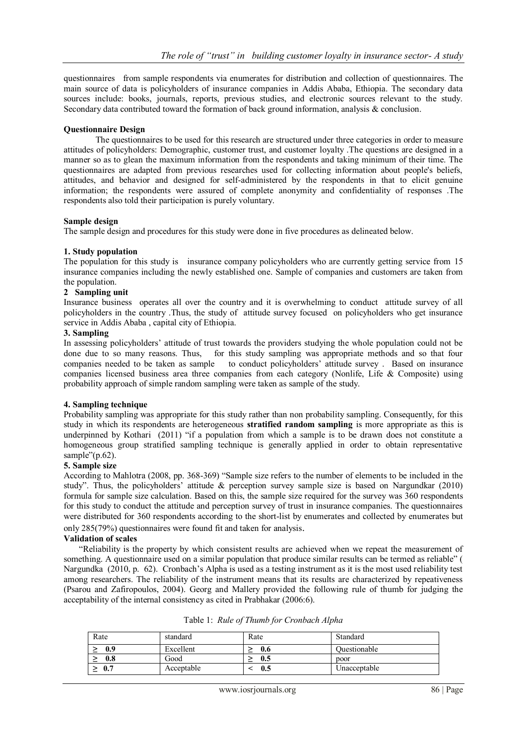questionnaires from sample respondents via enumerates for distribution and collection of questionnaires. The main source of data is policyholders of insurance companies in Addis Ababa, Ethiopia. The secondary data sources include: books, journals, reports, previous studies, and electronic sources relevant to the study. Secondary data contributed toward the formation of back ground information, analysis & conclusion.

## **Questionnaire Design**

The questionnaires to be used for this research are structured under three categories in order to measure attitudes of policyholders: Demographic, customer trust, and customer loyalty .The questions are designed in a manner so as to glean the maximum information from the respondents and taking minimum of their time. The questionnaires are adapted from previous researches used for collecting information about people's beliefs, attitudes, and behavior and designed for self-administered by the respondents in that to elicit genuine information; the respondents were assured of complete anonymity and confidentiality of responses .The respondents also told their participation is purely voluntary.

## **Sample design**

The sample design and procedures for this study were done in five procedures as delineated below.

## **1. Study population**

The population for this study is insurance company policyholders who are currently getting service from 15 insurance companies including the newly established one. Sample of companies and customers are taken from the population.

#### **2 Sampling unit**

Insurance business operates all over the country and it is overwhelming to conduct attitude survey of all policyholders in the country .Thus, the study of attitude survey focused on policyholders who get insurance service in Addis Ababa , capital city of Ethiopia.

#### **3. Sampling**

In assessing policyholders' attitude of trust towards the providers studying the whole population could not be done due to so many reasons. Thus, for this study sampling was appropriate methods and so that four companies needed to be taken as sample to conduct policyholders' attitude survey. Based on insurance to conduct policyholders' attitude survey . Based on insurance companies licensed business area three companies from each category (Nonlife, Life & Composite) using probability approach of simple random sampling were taken as sample of the study.

## **4. Sampling technique**

Probability sampling was appropriate for this study rather than non probability sampling. Consequently, for this study in which its respondents are heterogeneous **stratified random sampling** is more appropriate as this is underpinned by Kothari (2011) "if a population from which a sample is to be drawn does not constitute a homogeneous group stratified sampling technique is generally applied in order to obtain representative sample"(p.62).

## **5. Sample size**

According to Mahlotra (2008, pp. 368-369) "Sample size refers to the number of elements to be included in the study". Thus, the policyholders" attitude & perception survey sample size is based on Nargundkar (2010) formula for sample size calculation. Based on this, the sample size required for the survey was 360 respondents for this study to conduct the attitude and perception survey of trust in insurance companies. The questionnaires were distributed for 360 respondents according to the short-list by enumerates and collected by enumerates but only 285(79%) questionnaires were found fit and taken for analysis.

## **Validation of scales**

 "Reliability is the property by which consistent results are achieved when we repeat the measurement of something. A questionnaire used on a similar population that produce similar results can be termed as reliable" ( Nargundka (2010, p. 62). Cronbach's Alpha is used as a testing instrument as it is the most used reliability test among researchers. The reliability of the instrument means that its results are characterized by repeativeness (Psarou and Zafiropoulos, 2004). Georg and Mallery provided the following rule of thumb for judging the acceptability of the internal consistency as cited in Prabhakar (2006:6).

| Rate            | standard   | Rate | Standard     |
|-----------------|------------|------|--------------|
| 0.9             | Excellent  | 0.6  | Ouestionable |
| 0.8             | Good       | 0.5  | poor         |
| 0.7<br><u>_</u> | Acceptable | 0.5  | Unacceptable |

| Table 1: Rule of Thumb for Cronbach Alpha |  |
|-------------------------------------------|--|
|-------------------------------------------|--|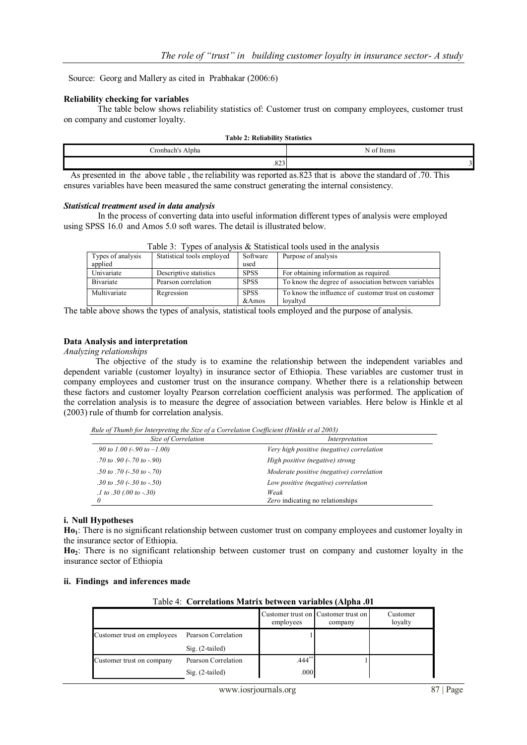Source: Georg and Mallery as cited in Prabhakar (2006:6)

#### **Reliability checking for variables**

The table below shows reliability statistics of: Customer trust on company employees, customer trust on company and customer loyalty.

| <b>Table 2: Reliability Statistics</b>                                                                       |            |  |  |  |  |
|--------------------------------------------------------------------------------------------------------------|------------|--|--|--|--|
| Cronbach's Alpha                                                                                             | N of Items |  |  |  |  |
| 823                                                                                                          |            |  |  |  |  |
| As presented in the above table, the reliability was reported as 823 that is above the standard of .70. This |            |  |  |  |  |

ensures variables have been measured the same construct generating the internal consistency.

#### *Statistical treatment used in data analysis*

In the process of converting data into useful information different types of analysis were employed using SPSS 16.0 and Amos 5.0 soft wares. The detail is illustrated below.

|                                                                                    | rable 5. Types of analysis $\alpha$ Statistical tools used in the analysis |                      |                                                                 |  |  |  |  |
|------------------------------------------------------------------------------------|----------------------------------------------------------------------------|----------------------|-----------------------------------------------------------------|--|--|--|--|
| Statistical tools employed<br>Software<br>Purpose of analysis<br>Types of analysis |                                                                            |                      |                                                                 |  |  |  |  |
| applied                                                                            |                                                                            | used                 |                                                                 |  |  |  |  |
| Univariate                                                                         | Descriptive statistics                                                     | <b>SPSS</b>          | For obtaining information as required.                          |  |  |  |  |
| <b>B</b> ivariate                                                                  | Pearson correlation                                                        | <b>SPSS</b>          | To know the degree of association between variables             |  |  |  |  |
| Multivariate                                                                       | Regression                                                                 | <b>SPSS</b><br>&Amos | To know the influence of customer trust on customer<br>loyaltyd |  |  |  |  |

|  | Table 3: Types of analysis $\&$ Statistical tools used in the analysis |  |
|--|------------------------------------------------------------------------|--|
|  |                                                                        |  |

The table above shows the types of analysis, statistical tools employed and the purpose of analysis.

#### **Data Analysis and interpretation**

## *Analyzing relationships*

The objective of the study is to examine the relationship between the independent variables and dependent variable (customer loyalty) in insurance sector of Ethiopia. These variables are customer trust in company employees and customer trust on the insurance company. Whether there is a relationship between these factors and customer loyalty Pearson correlation coefficient analysis was performed. The application of the correlation analysis is to measure the degree of association between variables. Here below is Hinkle et al (2003) rule of thumb for correlation analysis.

*Rule of Thumb for Interpreting the Size of a Correlation Coefficient (Hinkle et al 2003)*

| Size of Correlation<br>Interpretation         |                                           |
|-----------------------------------------------|-------------------------------------------|
| .90 to 1.00 (-.90 to $-1.00$ )                | Very high positive (negative) correlation |
| $.70$ to $.90$ ( $-.70$ to $-.90$ )           | High positive (negative) strong           |
| $.50 \text{ to } .70 (-.50 \text{ to } -.70)$ | Moderate positive (negative) correlation  |
| .30 to .50 $(-30 \text{ to } -50)$            | Low positive (negative) correlation       |
| $.1 to .30$ (.00 to $-.30$ )                  | Weak                                      |
|                                               | Zero indicating no relationships          |

## **i. Null Hypotheses**

**Ho1**: There is no significant relationship between customer trust on company employees and customer loyalty in the insurance sector of Ethiopia.

**Ho2**: There is no significant relationship between customer trust on company and customer loyalty in the insurance sector of Ethiopia

|  | ii. Findings and inferences made |  |
|--|----------------------------------|--|
|  |                                  |  |

|  | Table 4: Correlations Matrix between variables (Alpha .01 |  |  |  |  |
|--|-----------------------------------------------------------|--|--|--|--|
|--|-----------------------------------------------------------|--|--|--|--|

|                             |                     | employees            | Customer trust on Customer trust on<br>company | Customer<br>lovalty |
|-----------------------------|---------------------|----------------------|------------------------------------------------|---------------------|
| Customer trust on employees | Pearson Correlation |                      |                                                |                     |
|                             | $Sig. (2-tailed)$   |                      |                                                |                     |
| Customer trust on company   | Pearson Correlation | $.444$ <sup>**</sup> |                                                |                     |
|                             | $Sig. (2-tailed)$   | .000                 |                                                |                     |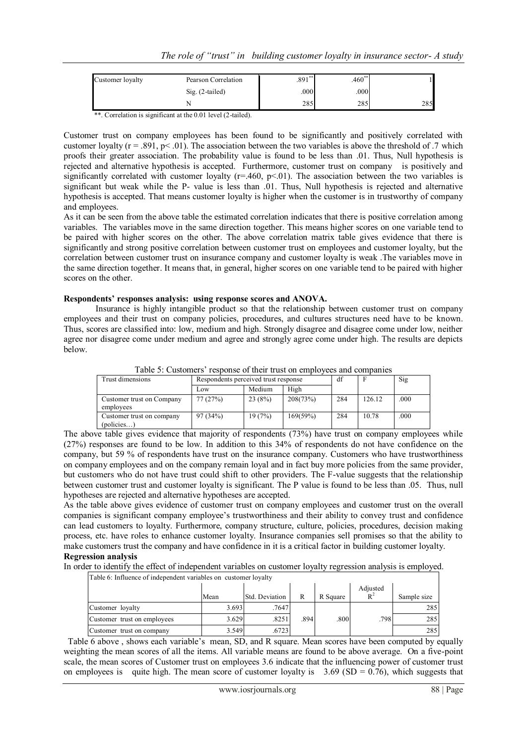| Customer loyalty | Pearson Correlation | $.891**$          | $.460**$ |     |
|------------------|---------------------|-------------------|----------|-----|
|                  | $Sig. (2-tailed)$   | .000 <sub>l</sub> | .000     |     |
|                  |                     | 285               | 285      | 285 |

\*\*. Correlation is significant at the 0.01 level (2-tailed).

Customer trust on company employees has been found to be significantly and positively correlated with customer loyalty ( $r = .891$ ,  $p < .01$ ). The association between the two variables is above the threshold of .7 which proofs their greater association. The probability value is found to be less than .01. Thus, Null hypothesis is rejected and alternative hypothesis is accepted. Furthermore, customer trust on company is positively and significantly correlated with customer loyalty ( $r=460$ ,  $p<01$ ). The association between the two variables is significant but weak while the P- value is less than .01. Thus, Null hypothesis is rejected and alternative hypothesis is accepted. That means customer loyalty is higher when the customer is in trustworthy of company and employees.

As it can be seen from the above table the estimated correlation indicates that there is positive correlation among variables. The variables move in the same direction together. This means higher scores on one variable tend to be paired with higher scores on the other. The above correlation matrix table gives evidence that there is significantly and strong positive correlation between customer trust on employees and customer loyalty, but the correlation between customer trust on insurance company and customer loyalty is weak .The variables move in the same direction together. It means that, in general, higher scores on one variable tend to be paired with higher scores on the other.

# **Respondents' responses analysis: using response scores and ANOVA.**

Insurance is highly intangible product so that the relationship between customer trust on company employees and their trust on company policies, procedures, and cultures structures need have to be known. Thus, scores are classified into: low, medium and high. Strongly disagree and disagree come under low, neither agree nor disagree come under medium and agree and strongly agree come under high. The results are depicts below.

| Trust dimensions                        | Respondents perceived trust response |        |          | df  |        | Sig  |
|-----------------------------------------|--------------------------------------|--------|----------|-----|--------|------|
|                                         | Low                                  | Medium | High     |     |        |      |
| Customer trust on Company<br>employees  | 77(27%)                              | 23(8%) | 208(73%) | 284 | 126.12 | .000 |
| Customer trust on company<br>(policies) | 97(34%)                              | 19(7%) | 169(59%) | 284 | 10.78  | .000 |

Table 5: Customers' response of their trust on employees and companies

The above table gives evidence that majority of respondents (73%) have trust on company employees while (27%) responses are found to be low. In addition to this 34% of respondents do not have confidence on the company, but 59 % of respondents have trust on the insurance company. Customers who have trustworthiness on company employees and on the company remain loyal and in fact buy more policies from the same provider, but customers who do not have trust could shift to other providers. The F-value suggests that the relationship between customer trust and customer loyalty is significant. The P value is found to be less than .05. Thus, null hypotheses are rejected and alternative hypotheses are accepted.

As the table above gives evidence of customer trust on company employees and customer trust on the overall companies is significant company employee"s trustworthiness and their ability to convey trust and confidence can lead customers to loyalty. Furthermore, company structure, culture, policies, procedures, decision making process, etc. have roles to enhance customer loyalty. Insurance companies sell promises so that the ability to make customers trust the company and have confidence in it is a critical factor in building customer loyalty. **Regression analysis**

# In order to identify the effect of independent variables on customer loyalty regression analysis is employed.

| Table 6: Influence of independent variables on customer loyalty |       |                |      |          |                   |             |  |
|-----------------------------------------------------------------|-------|----------------|------|----------|-------------------|-------------|--|
|                                                                 | Mean  | Std. Deviation | R    | R Square | Adjusted<br>$R^2$ | Sample size |  |
| Customer loyalty                                                | 3.693 | .7647          |      |          |                   | 285         |  |
| Customer trust on employees                                     | 3.629 | .8251          | .894 | .800     | .798              | 285         |  |
| Customer trust on company                                       | 3.549 | .6723          |      |          |                   | 285         |  |

Table 6 above , shows each variable"s mean, SD, and R square. Mean scores have been computed by equally weighting the mean scores of all the items. All variable means are found to be above average. On a five-point scale, the mean scores of Customer trust on employees 3.6 indicate that the influencing power of customer trust on employees is quite high. The mean score of customer loyalty is  $3.69$  (SD = 0.76), which suggests that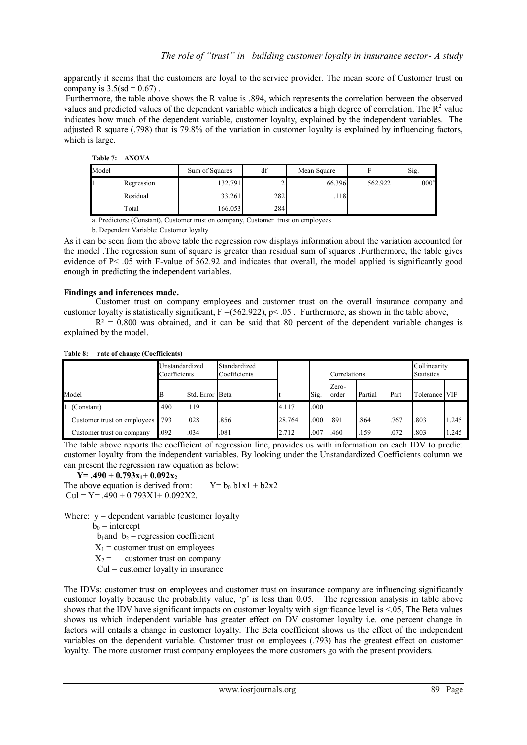apparently it seems that the customers are loyal to the service provider. The mean score of Customer trust on company is  $3.5({\rm sd} = 0.67)$ .

Furthermore, the table above shows the R value is .894, which represents the correlation between the observed values and predicted values of the dependent variable which indicates a high degree of correlation. The  $\mathbb{R}^2$  value indicates how much of the dependent variable, customer loyalty, explained by the independent variables. The adjusted R square (.798) that is 79.8% of the variation in customer loyalty is explained by influencing factors, which is large.

#### **Table 7: ANOVA**

| Model |            | Sum of Squares | df  | Mean Square |         | Sig.              |
|-------|------------|----------------|-----|-------------|---------|-------------------|
|       | Regression | 132.791        |     | 66.396      | 562.922 | .000 <sup>a</sup> |
|       | Residual   | 33.261         | 282 | .118        |         |                   |
|       | Total      | 166.053        | 284 |             |         |                   |

a. Predictors: (Constant), Customer trust on company, Customer trust on employees

b. Dependent Variable: Customer loyalty

As it can be seen from the above table the regression row displays information about the variation accounted for the model .The regression sum of square is greater than residual sum of squares .Furthermore, the table gives evidence of P< .05 with F-value of 562.92 and indicates that overall, the model applied is significantly good enough in predicting the independent variables.

## **Findings and inferences made.**

Customer trust on company employees and customer trust on the overall insurance company and customer loyalty is statistically significant,  $F = (562.922)$ ,  $p < .05$ . Furthermore, as shown in the table above,

 $R<sup>2</sup> = 0.800$  was obtained, and it can be said that 80 percent of the dependent variable changes is explained by the model.

|                                  | Unstandardized<br>Coefficients |                 | Standardized<br>Coefficients |        |      | Correlations   |         |      | Collinearity<br><b>Statistics</b> |       |
|----------------------------------|--------------------------------|-----------------|------------------------------|--------|------|----------------|---------|------|-----------------------------------|-------|
| Model                            |                                | Std. Error Beta |                              |        | Sig. | Zero-<br>order | Partial | Part | Tolerance VIF                     |       |
| 1 (Constant)                     | .490                           | .119            |                              | 4.117  | .000 |                |         |      |                                   |       |
| Customer trust on employees .793 |                                | .028            | .856                         | 28.764 | .000 | .891           | .864    | .767 | .803                              | 1.245 |
| Customer trust on company        | .092                           | .034            | .081                         | 2.712  | .007 | .460           | .159    | .072 | .803                              | 1.245 |

**Table 8: rate of change (Coefficients)**

The table above reports the coefficient of regression line, provides us with information on each IDV to predict customer loyalty from the independent variables. By looking under the Unstandardized Coefficients column we can present the regression raw equation as below:

## $Y = .490 + 0.793x_1 + 0.092x_2$

The above equation is derived from:  $Y = b_0 b1x1 + b2x2$  $Cul = Y = .490 + 0.793X1 + 0.092X2.$ 

Where:  $y =$  dependent variable (customer loyalty

 $b_0$  = intercept

 $b_1$ and  $b_2$  = regression coefficient

- $X_1$  = customer trust on employees
- $X_2$  = customer trust on company
- $Cul = customer$  loyalty in insurance

The IDVs: customer trust on employees and customer trust on insurance company are influencing significantly customer loyalty because the probability value, "p" is less than 0.05. The regression analysis in table above shows that the IDV have significant impacts on customer loyalty with significance level is  $\leq 0.05$ , The Beta values shows us which independent variable has greater effect on DV customer loyalty i.e. one percent change in factors will entails a change in customer loyalty. The Beta coefficient shows us the effect of the independent variables on the dependent variable. Customer trust on employees (.793) has the greatest effect on customer loyalty. The more customer trust company employees the more customers go with the present providers.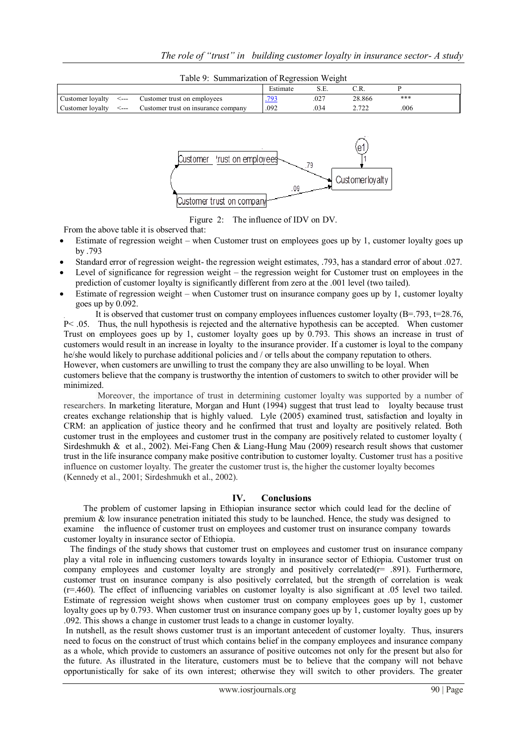|                  |      |                                     | Estimate | ◡.∟. |                 |      |  |
|------------------|------|-------------------------------------|----------|------|-----------------|------|--|
| Customer loyalty | <--- | Customer trust on employees         |          | .027 | 28.866          | ***  |  |
| Customer loyalty | <--- | Customer trust on insurance company | .092     |      | 2.72<br>2. I 22 | .006 |  |





Figure 2: The influence of IDV on DV.

From the above table it is observed that:

- Estimate of regression weight when Customer trust on employees goes up by 1, customer loyalty goes up by .793
- Standard error of regression weight- the regression weight estimates, .793, has a standard error of about .027.
- Level of significance for regression weight the regression weight for Customer trust on employees in the prediction of customer loyalty is significantly different from zero at the .001 level (two tailed).
- Estimate of regression weight when Customer trust on insurance company goes up by 1, customer loyalty goes up by 0.092.

. It is observed that customer trust on company employees influences customer loyalty (B=.793, t=28.76, P< .05. Thus, the null hypothesis is rejected and the alternative hypothesis can be accepted. When customer Trust on employees goes up by 1, customer loyalty goes up by 0.793. This shows an increase in trust of customers would result in an increase in loyalty to the insurance provider. If a customer is loyal to the company he/she would likely to purchase additional policies and / or tells about the company reputation to others. However, when customers are unwilling to trust the company they are also unwilling to be loyal. When customers believe that the company is trustworthy the intention of customers to switch to other provider will be minimized.

Moreover, the importance of trust in determining customer loyalty was supported by a number of researchers. In marketing literature, Morgan and Hunt (1994) suggest that trust lead to loyalty because trust creates exchange relationship that is highly valued. Lyle (2005) examined trust, satisfaction and loyalty in CRM: an application of justice theory and he confirmed that trust and loyalty are positively related. Both customer trust in the employees and customer trust in the company are positively related to customer loyalty ( Sirdeshmukh & et al., 2002). Mei-Fang Chen & Liang-Hung Mau (2009) research result shows that customer trust in the life insurance company make positive contribution to customer loyalty. Customer trust has a positive influence on customer loyalty. The greater the customer trust is, the higher the customer loyalty becomes (Kennedy et al., 2001; Sirdeshmukh et al., 2002).

# **IV. Conclusions**

 The problem of customer lapsing in Ethiopian insurance sector which could lead for the decline of premium  $\&$  low insurance penetration initiated this study to be launched. Hence, the study was designed to examine the influence of customer trust on employees and customer trust on insurance company towards customer loyalty in insurance sector of Ethiopia.

 The findings of the study shows that customer trust on employees and customer trust on insurance company play a vital role in influencing customers towards loyalty in insurance sector of Ethiopia. Customer trust on company employees and customer loyalty are strongly and positively correlated( $r = .891$ ). Furthermore, customer trust on insurance company is also positively correlated, but the strength of correlation is weak (r=.460). The effect of influencing variables on customer loyalty is also significant at .05 level two tailed. Estimate of regression weight shows when customer trust on company employees goes up by 1, customer loyalty goes up by 0.793. When customer trust on insurance company goes up by 1, customer loyalty goes up by .092. This shows a change in customer trust leads to a change in customer loyalty.

In nutshell, as the result shows customer trust is an important antecedent of customer loyalty. Thus, insurers need to focus on the construct of trust which contains belief in the company employees and insurance company as a whole, which provide to customers an assurance of positive outcomes not only for the present but also for the future. As illustrated in the literature, customers must be to believe that the company will not behave opportunistically for sake of its own interest; otherwise they will switch to other providers. The greater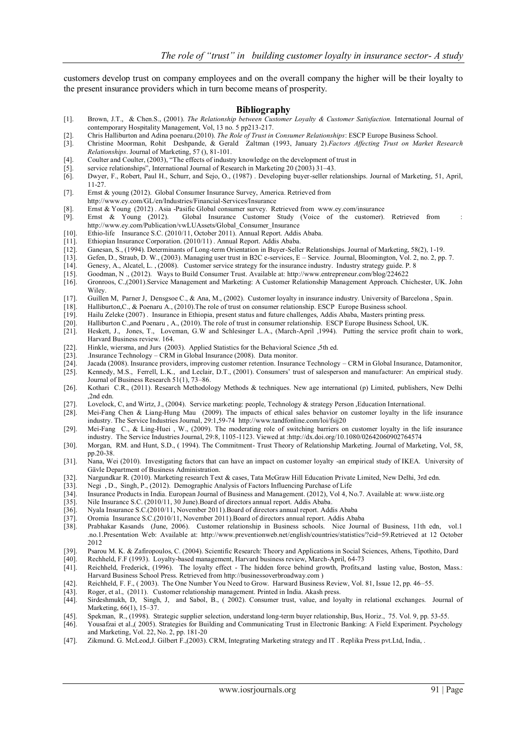customers develop trust on company employees and on the overall company the higher will be their loyalty to the present insurance providers which in turn become means of prosperity.

#### **Bibliography**

- [1]. Brown, J.T., & Chen.S., (2001). *The Relationship between Customer Loyalty & Customer Satisfaction.* International Journal of contemporary Hospitality Management, Vol, 13 no. 5 pp213-217.
- [2]. Chris Halliburton and Adina poenaru.(2010). *The Role of Trust in Consumer Relationships*: ESCP Europe Business School.
- [3]. Christine Moorman, Rohit Deshpande, & Gerald Zaltman (1993, January 2).*Factors Affecting Trust on Market Research Relationships*. Journal of Marketing, 57 (), 81-101.
- [4]. Coulter and Coulter, (2003), "The effects of industry knowledge on the development of trust in [5]. service relationships", International Journal of Research in Marketing 20 (2003) 31–43.
- [5]. service relationships", International Journal of Research in Marketing 20 (2003) 31–43.
- [6]. Dwyer, F., Robert, Paul H., Schurr, and Sejo, O., (1987) . Developing buyer-seller relationships. Journal of Marketing, 51, April, 11-27.
- [7]. Ernst & young (2012). Global Consumer Insurance Survey, America. Retrieved from
- <http://www.ey.com/GL/en/Industries/Financial-Services/Insurance>
- [8]. Ernst & Young (2012) . Asia -Pasific Global consumer survey. Retrieved from [www.ey.com/insurance](http://www.ey.com/insurance)
- [9]. Ernst & Young (2012). Global Insurance Customer Study (Voice of the customer). Retrieved from : http://www.ey.com/Publication/vwLUAssets/Global\_Consumer\_Insurance
- [10]. Ethio-life Insurance S.C. (2010/11, October 2011). Annual Report. Addis Ababa.<br>[11]. Ethiopian Insurance Corporation. (2010/11). Annual Report. Addis Ababa.
- Ethiopian Insurance Corporation. (2010/11). Annual Report. Addis Ababa.
- [12]. Ganesan, S., (1994). Determinants of Long-term Orientation in Buyer-Seller Relationships. Journal of Marketing, 58(2), 1-19.
- [13]. Gefen, D., Straub, D. W., (2003). Managing user trust in B2C e-services, E Service. Journal, Bloomington, Vol. 2, no. 2, pp. 7. [14]. Genesy, A., Alcatel, L., (2008). Customer service strategy for the insurance ind
- [14]. Genesy, A., Alcatel, L. , (2008). Customer service strategy for the insurance industry. Industry strategy guide. P. 8
- [15]. Goodman, N ., (2012). Ways to Build Consumer Trust. Available at[: http://www.entrepreneur.com/blog/224622](http://www.entrepreneur.com/blog/224622)
- [16]. Gronroos, C.,(2001).Service Management and Marketing: A Customer Relationship Management Approach. Chichester, UK. John Wiley.
- [17]. Guillen M, Parner J, Densgsoe C., & Ana, M., (2002). Customer loyalty in insurance industry. University of Barcelona , Spain.
- [18]. Halliburton, C., & Poenaru A., (2010). The role of trust on consumer relationship. ESCP Europe Business school.<br>[19]. Hailu Zeleke (2007). Insurance in Ethiopia, present status and future challenges, Addis Ababa, Mas
- [19]. Hailu Zeleke (2007) . Insurance in Ethiopia, present status and future challenges, Addis Ababa, Masters printing press.
- Halliburton C.,and Poenaru, A., (2010). The role of trust in consumer relationship. ESCP Europe Business School, UK.
- [21]. Heskett, J., Jones, T., Loveman, G.W and Schlesinger L.A., (March-April ,1994). Putting the service profit chain to work, Harvard Business review. 164.
- [22]. Hinkle, wiersma, and Jurs (2003). Applied Statistics for the Behavioral Science ,5th ed. [23]. Just amonitor.
- .Insurance Technology CRM in Global Insurance (2008). Data monitor.
- [24]. Jacada (2008). Insurance providers, improving customer retention. Insurance Technology CRM in Global Insurance, Datamonitor,
- [25]. Kennedy, M.S., Ferrell, L.K., and Leclair, D.T., (2001). Consumers' trust of salesperson and manufacturer: An empirical study. Journal of Business Research 51(1), 73–86.
- [26]. Kothari C.R., (2011). Research Methodology Methods & techniques. New age international (p) Limited, publishers, New Delhi ,2nd edn.
- [27]. Lovelock, C, and Wirtz, J., (2004). Service marketing: people, Technology & strategy Person ,Education International.<br>[28]. Mei-Fang Chen & Liang-Hung Mau (2009). The impacts of ethical sales behavior on customer loy
- Mei-Fang Chen & Liang-Hung Mau (2009). The impacts of ethical sales behavior on customer loyalty in the life insurance industry. The Service Industries Journal, 29:1,59-74<http://www.tandfonline.com/loi/fsij20>
- [29]. Mei-Fang C., & Ling-Huei , W., (2009). The moderating role of switching barriers on customer loyalty in the life insurance industry. The Service Industries Journal, 29:8, 1105-1123. Viewed at [:http://dx.doi.org/10.1080/02642060902764574](http://dx.doi.org/10.1080/02642060902764574)
- [30]. Morgan, RM. and Hunt, S.D., ( 1994). The Commitment- Trust Theory of Relationship Marketing. Journal of Marketing, Vol, 58, pp.20-38.
- [31]. Nana, Wei (2010). Investigating factors that can have an impact on customer loyalty -an empirical study of IKEA. University of Gävle Department of Business Administration.
- [32]. Nargundkar R. (2010). Marketing research Text & cases, Tata McGraw Hill Education Private Limited, New Delhi, 3rd edn.
- [33]. Negi , D., Singh, P., (2012). Demographic Analysis of Factors Influencing Purchase of Life
- [34]. Insurance Products in India. European Journal of Business and Management. (2012), Vol 4, No.7. Available at: www.iiste.org [35]. Nile Insurance S.C. (2010/11, 30 June). Board of directors annual report. Addis Ababa.
- Nile Insurance S.C. (2010/11, 30 June).Board of directors annual report. Addis Ababa.
- [36]. Nyala Insurance S.C.(2010/11, November 2011).Board of directors annual report. Addis Ababa
- 
- [37]. Oromia Insurance S.C.(2010/11, November 2011). Board of directors annual report. Addis Ababa [38]. Prabhakar Kasands (June, 2006). Customer relationship in Business schools. Nice Journ. Prabhakar Kasands (June, 2006). Customer relationship in Business schools. Nice Journal of Business, 11th edn, vol.1 .no.1.Presentation Web: Available at:<http://www.preventionweb.net/english/countries/statistics/?cid=59.Retrieved> at 12 October 2012
- [39]. Psarou M. K. & Zafiropoulos, C. (2004). Scientific Research: Theory and Applications in Social Sciences, Athens, Tipothito, Dard [40]. Rechheld, F.F (1993). Lovalty-based management. Harvard business review. March-Ap
- [40]. Rechheld, F.F (1993). Loyalty-based management, Harvard business review, March-April, 64-73
- [41]. Reichheld, Frederick, (1996). The loyalty effect The hidden force behind growth, Profits,and lasting value, Boston, Mass.: Harvard Business School Press. Retrieved from http://businessoverbroadway.com )
- [42]. Reichheld, F. F., ( 2003). The One Number You Need to Grow. Harward Business Review, Vol. 81, Issue 12, pp. 46–55.
- [43]. Roger, et al., (2011). Customer relationship management. Printed in India. Akash press.
- [44]. Sirdeshmukh, D, Singh, J, and Sabol, B., ( 2002). Consumer trust, value, and loyalty in relational exchanges. Journal of Marketing, 66(1), 15–37.
- [45]. Spekman, R., (1998). Strategic supplier selection, understand long-term buyer relationship, Bus, Horiz., 75. Vol. 9, pp. 53-55.
- [46]. Yousafzai et al.,( 2005). Strategies for Building and Communicating Trust in Electronic Banking: A Field Experiment. Psychology and Marketing, Vol. 22, No. 2, pp. 181-20
- [47]. Zikmund. G. McLeod,J. Gilbert F.,(2003). CRM, Integrating Marketing strategy and IT . Replika Press pvt.Ltd, India, .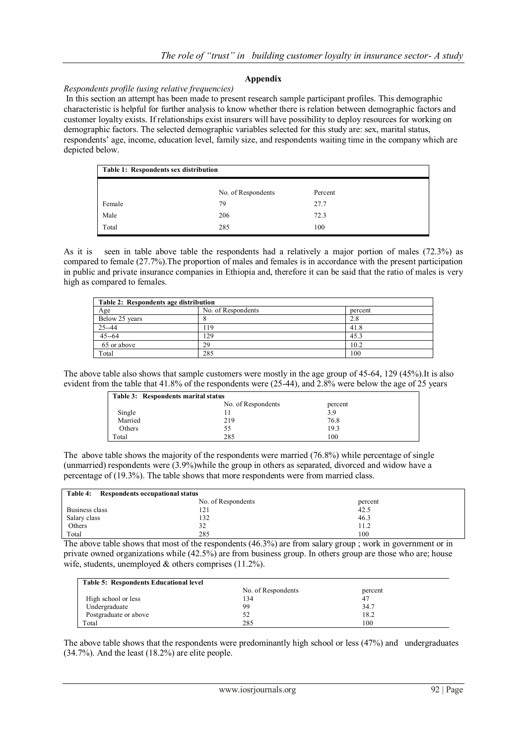## **Appendix**

## *Respondents profile (using relative frequencies)*

In this section an attempt has been made to present research sample participant profiles. This demographic characteristic is helpful for further analysis to know whether there is relation between demographic factors and customer loyalty exists. If relationships exist insurers will have possibility to deploy resources for working on demographic factors. The selected demographic variables selected for this study are: sex, marital status, respondents" age, income, education level, family size, and respondents waiting time in the company which are depicted below.

| Table 1: Respondents sex distribution |                    |         |  |  |
|---------------------------------------|--------------------|---------|--|--|
|                                       | No. of Respondents | Percent |  |  |
| Female                                | 79                 | 27.7    |  |  |
| Male                                  | 206                | 72.3    |  |  |
| Total                                 | 285                | 100     |  |  |

As it is seen in table above table the respondents had a relatively a major portion of males (72.3%) as compared to female (27.7%).The proportion of males and females is in accordance with the present participation in public and private insurance companies in Ethiopia and, therefore it can be said that the ratio of males is very high as compared to females.

| Table 2: Respondents age distribution |                    |         |  |  |
|---------------------------------------|--------------------|---------|--|--|
| Age                                   | No. of Respondents | percent |  |  |
| Below 25 years                        |                    | 2.8     |  |  |
| $25 - 44$                             | 19                 | 41.8    |  |  |
| $45 - 64$                             | 129                | 45.3    |  |  |
| 65 or above                           | 29                 | 10.2    |  |  |
| Total                                 | 285                | 100     |  |  |

The above table also shows that sample customers were mostly in the age group of 45-64, 129 (45%).It is also evident from the table that 41.8% of the respondents were (25-44), and 2.8% were below the age of 25 years

| Table 3: Respondents marital status |                    |         |  |  |
|-------------------------------------|--------------------|---------|--|--|
|                                     | No. of Respondents | percent |  |  |
| Single                              |                    | 3.9     |  |  |
| Married                             | 219                | 76.8    |  |  |
| Others                              | 55                 | 19.3    |  |  |
| Total                               | 285                | 100     |  |  |

The above table shows the majority of the respondents were married (76.8%) while percentage of single (unmarried) respondents were (3.9%)while the group in others as separated, divorced and widow have a percentage of (19.3%). The table shows that more respondents were from married class.

| Table 4:<br>Respondents occupational status |                    |         |  |  |
|---------------------------------------------|--------------------|---------|--|--|
|                                             | No. of Respondents | percent |  |  |
| Business class                              | 121                | 42.5    |  |  |
| Salary class                                | 132                | 46.3    |  |  |
| Others                                      | 32                 | 11.2    |  |  |
| Total                                       | 285                | 100     |  |  |

The above table shows that most of the respondents (46.3%) are from salary group ; work in government or in private owned organizations while (42.5%) are from business group. In others group are those who are; house wife, students, unemployed  $\&$  others comprises (11.2%).

| Table 5: Respondents Educational level |                    |         |  |
|----------------------------------------|--------------------|---------|--|
|                                        | No. of Respondents | percent |  |
| High school or less                    | l 34               | 47      |  |
| Undergraduate                          | 99                 | 34.7    |  |
| Postgraduate or above                  |                    | 18.2    |  |
| Total                                  | 285                | 100     |  |

The above table shows that the respondents were predominantly high school or less (47%) and undergraduates (34.7%). And the least (18.2%) are elite people.